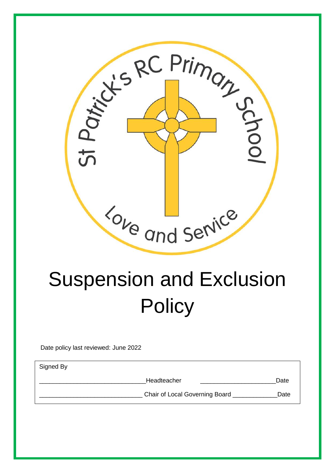

# Suspension and Exclusion **Policy**

Date policy last reviewed: June 2022

Signed By

Headteacher **Executes Date** 

Chair of Local Governing Board **Date** Date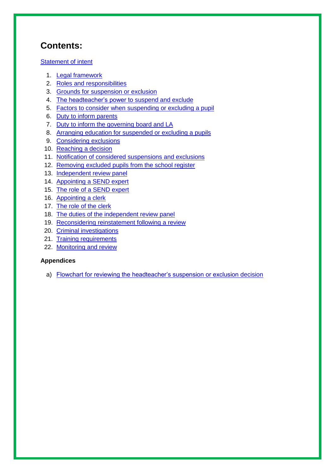## **Contents:**

#### [Statement of intent](#page-2-0)

- 1. [Legal framework](#page-3-0)
- 2. Roles and [responsibilities](#page-3-1)
- 3. [Grounds for suspension or exclusion](#page-6-0)
- 4. [The headteacher's power to suspend and exclude](#page-6-1)
- 5. [Factors to consider when suspending or excluding a pupil](#page-7-0)
- 6. [Duty to inform parents](#page-8-0)
- 7. [Duty to inform the governing board and LA](#page-9-0)
- 8. [Arranging education for suspended or excluding a](#page-9-1) pupils
- 9. [Considering exclusions](#page-10-0)
- 10. [Reaching a decision](#page-11-0)
- 11. [Notification of considered suspensions and exclusions](#page-11-1)
- 12. [Removing excluded pupils from the school register](#page-12-0)
- 13. [Independent review](#page-12-1) panel
- 14. [Appointing a SEND expert](#page-13-0)
- 15. The [role of a SEND expert](#page-14-0)
- 16. [Appointing a clerk](#page-13-0)
- 17. [The role of the clerk](#page-13-1)
- 18. [The duties of the independent review panel](#page-13-1)
- 19. [Reconsidering reinstatement following a review](#page-16-0)
- 20. [Criminal investigations](#page-16-1)
- 21. [Training requirements](#page-17-0)
- 22. Monitoring [and review](#page-13-1)

#### **Appendices**

a) [Flowchart for reviewing the headteacher's suspension or exclusion decision](#page-18-0)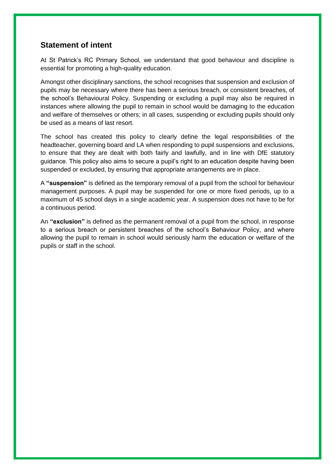#### <span id="page-2-0"></span>**Statement of intent**

At St Patrick's RC Primary School, we understand that good behaviour and discipline is essential for promoting a high-quality education.

Amongst other disciplinary sanctions, the school recognises that suspension and exclusion of pupils may be necessary where there has been a serious breach, or consistent breaches, of the school's Behavioural Policy. Suspending or excluding a pupil may also be required in instances where allowing the pupil to remain in school would be damaging to the education and welfare of themselves or others; in all cases, suspending or excluding pupils should only be used as a means of last resort.

The school has created this policy to clearly define the legal responsibilities of the headteacher, governing board and LA when responding to pupil suspensions and exclusions, to ensure that they are dealt with both fairly and lawfully, and in line with DfE statutory guidance. This policy also aims to secure a pupil's right to an education despite having been suspended or excluded, by ensuring that appropriate arrangements are in place.

A **"suspension"** is defined as the temporary removal of a pupil from the school for behaviour management purposes. A pupil may be suspended for one or more fixed periods, up to a maximum of 45 school days in a single academic year. A suspension does not have to be for a continuous period.

An **"exclusion"** is defined as the permanent removal of a pupil from the school, in response to a serious breach or persistent breaches of the school's Behaviour Policy, and where allowing the pupil to remain in school would seriously harm the education or welfare of the pupils or staff in the school.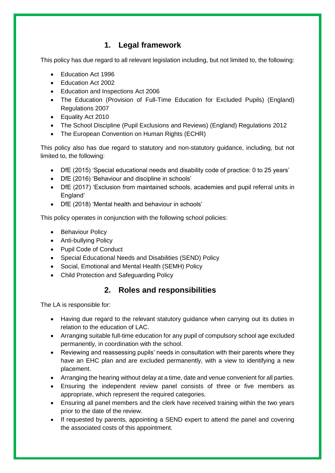#### **1. Legal framework**

<span id="page-3-0"></span>This policy has due regard to all relevant legislation including, but not limited to, the following:

- Education Act 1996
- Education Act 2002
- Education and Inspections Act 2006
- The Education (Provision of Full-Time Education for Excluded Pupils) (England) Regulations 2007
- Equality Act 2010
- The School Discipline (Pupil Exclusions and Reviews) (England) Regulations 2012
- The European Convention on Human Rights (ECHR)

This policy also has due regard to statutory and non-statutory guidance, including, but not limited to, the following:

- DfE (2015) 'Special educational needs and disability code of practice: 0 to 25 years'
- DfE (2016) 'Behaviour and discipline in schools'
- DfE (2017) 'Exclusion from maintained schools, academies and pupil referral units in England'
- DfE (2018) 'Mental health and behaviour in schools'

This policy operates in conjunction with the following school policies:

- Behaviour Policy
- Anti-bullying Policy
- Pupil Code of Conduct
- Special Educational Needs and Disabilities (SEND) Policy
- Social, Emotional and Mental Health (SEMH) Policy
- Child Protection and Safeguarding Policy

#### **2. Roles and responsibilities**

<span id="page-3-1"></span>The LA is responsible for:

- Having due regard to the relevant statutory guidance when carrying out its duties in relation to the education of LAC.
- Arranging suitable full-time education for any pupil of compulsory school age excluded permanently, in coordination with the school.
- Reviewing and reassessing pupils' needs in consultation with their parents where they have an EHC plan and are excluded permanently, with a view to identifying a new placement.
- Arranging the hearing without delay at a time, date and venue convenient for all parties.
- Ensuring the independent review panel consists of three or five members as appropriate, which represent the required categories.
- Ensuring all panel members and the clerk have received training within the two years prior to the date of the review.
- If requested by parents, appointing a SEND expert to attend the panel and covering the associated costs of this appointment.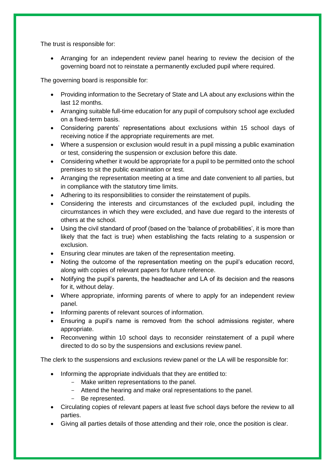The trust is responsible for:

 Arranging for an independent review panel hearing to review the decision of the governing board not to reinstate a permanently excluded pupil where required.

The governing board is responsible for:

- Providing information to the Secretary of State and LA about any exclusions within the last 12 months.
- Arranging suitable full-time education for any pupil of compulsory school age excluded on a fixed-term basis.
- Considering parents' representations about exclusions within 15 school days of receiving notice if the appropriate requirements are met.
- Where a suspension or exclusion would result in a pupil missing a public examination or test, considering the suspension or exclusion before this date.
- Considering whether it would be appropriate for a pupil to be permitted onto the school premises to sit the public examination or test.
- Arranging the representation meeting at a time and date convenient to all parties, but in compliance with the statutory time limits.
- Adhering to its responsibilities to consider the reinstatement of pupils.
- Considering the interests and circumstances of the excluded pupil, including the circumstances in which they were excluded, and have due regard to the interests of others at the school.
- Using the civil standard of proof (based on the 'balance of probabilities', it is more than likely that the fact is true) when establishing the facts relating to a suspension or exclusion.
- Ensuring clear minutes are taken of the representation meeting.
- Noting the outcome of the representation meeting on the pupil's education record, along with copies of relevant papers for future reference.
- Notifying the pupil's parents, the headteacher and LA of its decision and the reasons for it, without delay.
- Where appropriate, informing parents of where to apply for an independent review panel.
- Informing parents of relevant sources of information.
- Ensuring a pupil's name is removed from the school admissions register, where appropriate.
- Reconvening within 10 school days to reconsider reinstatement of a pupil where directed to do so by the suspensions and exclusions review panel.

The clerk to the suspensions and exclusions review panel or the LA will be responsible for:

- Informing the appropriate individuals that they are entitled to:
	- Make written representations to the panel.
	- Attend the hearing and make oral representations to the panel.
	- Be represented.
- Circulating copies of relevant papers at least five school days before the review to all parties.
- Giving all parties details of those attending and their role, once the position is clear.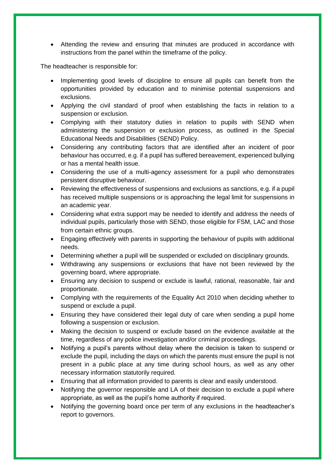Attending the review and ensuring that minutes are produced in accordance with instructions from the panel within the timeframe of the policy.

The headteacher is responsible for:

- Implementing good levels of discipline to ensure all pupils can benefit from the opportunities provided by education and to minimise potential suspensions and exclusions.
- Applying the civil standard of proof when establishing the facts in relation to a suspension or exclusion.
- Complying with their statutory duties in relation to pupils with SEND when administering the suspension or exclusion process, as outlined in the Special Educational Needs and Disabilities (SEND) Policy.
- Considering any contributing factors that are identified after an incident of poor behaviour has occurred, e.g. if a pupil has suffered bereavement, experienced bullying or has a mental health issue.
- Considering the use of a multi-agency assessment for a pupil who demonstrates persistent disruptive behaviour.
- Reviewing the effectiveness of suspensions and exclusions as sanctions, e.g. if a pupil has received multiple suspensions or is approaching the legal limit for suspensions in an academic year.
- Considering what extra support may be needed to identify and address the needs of individual pupils, particularly those with SEND, those eligible for FSM, LAC and those from certain ethnic groups.
- Engaging effectively with parents in supporting the behaviour of pupils with additional needs.
- Determining whether a pupil will be suspended or excluded on disciplinary grounds.
- Withdrawing any suspensions or exclusions that have not been reviewed by the governing board, where appropriate.
- Ensuring any decision to suspend or exclude is lawful, rational, reasonable, fair and proportionate.
- Complying with the requirements of the Equality Act 2010 when deciding whether to suspend or exclude a pupil.
- Ensuring they have considered their legal duty of care when sending a pupil home following a suspension or exclusion.
- Making the decision to suspend or exclude based on the evidence available at the time, regardless of any police investigation and/or criminal proceedings.
- Notifying a pupil's parents without delay where the decision is taken to suspend or exclude the pupil, including the days on which the parents must ensure the pupil is not present in a public place at any time during school hours, as well as any other necessary information statutorily required.
- Ensuring that all information provided to parents is clear and easily understood.
- Notifying the governor responsible and LA of their decision to exclude a pupil where appropriate, as well as the pupil's home authority if required.
- Notifying the governing board once per term of any exclusions in the headteacher's report to governors.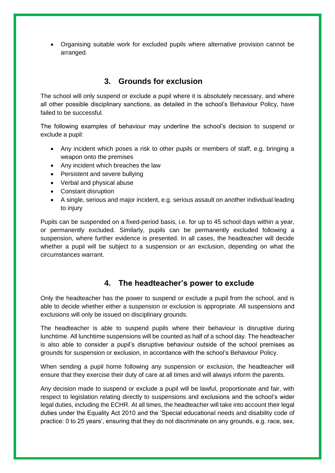Organising suitable work for excluded pupils where alternative provision cannot be arranged.

#### **3. Grounds for exclusion**

<span id="page-6-0"></span>The school will only suspend or exclude a pupil where it is absolutely necessary, and where all other possible disciplinary sanctions, as detailed in the school's Behaviour Policy, have failed to be successful.

The following examples of behaviour may underline the school's decision to suspend or exclude a pupil:

- Any incident which poses a risk to other pupils or members of staff, e.g. bringing a weapon onto the premises
- Any incident which breaches the law
- Persistent and severe bullying
- Verbal and physical abuse
- Constant disruption
- A single, serious and major incident, e.g. serious assault on another individual leading to injury

Pupils can be suspended on a fixed-period basis, i.e. for up to 45 school days within a year, or permanently excluded. Similarly, pupils can be permanently excluded following a suspension, where further evidence is presented. In all cases, the headteacher will decide whether a pupil will be subject to a suspension or an exclusion, depending on what the circumstances warrant.

#### **4. The headteacher's power to exclude**

<span id="page-6-1"></span>Only the headteacher has the power to suspend or exclude a pupil from the school, and is able to decide whether either a suspension or exclusion is appropriate. All suspensions and exclusions will only be issued on disciplinary grounds.

The headteacher is able to suspend pupils where their behaviour is disruptive during lunchtime. All lunchtime suspensions will be counted as half of a school day. The headteacher is also able to consider a pupil's disruptive behaviour outside of the school premises as grounds for suspension or exclusion, in accordance with the school's Behaviour Policy.

When sending a pupil home following any suspension or exclusion, the headteacher will ensure that they exercise their duty of care at all times and will always inform the parents.

Any decision made to suspend or exclude a pupil will be lawful, proportionate and fair, with respect to legislation relating directly to suspensions and exclusions and the school's wider legal duties, including the ECHR. At all times, the headteacher will take into account their legal duties under the Equality Act 2010 and the 'Special educational needs and disability code of practice: 0 to 25 years', ensuring that they do not discriminate on any grounds, e.g. race, sex,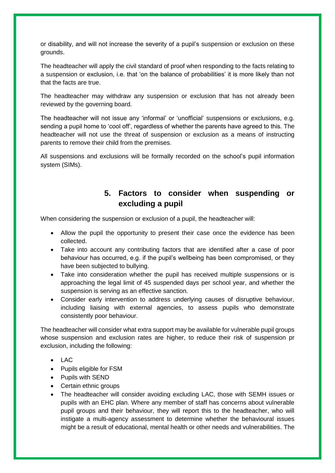or disability, and will not increase the severity of a pupil's suspension or exclusion on these grounds.

The headteacher will apply the civil standard of proof when responding to the facts relating to a suspension or exclusion, i.e. that 'on the balance of probabilities' it is more likely than not that the facts are true.

The headteacher may withdraw any suspension or exclusion that has not already been reviewed by the governing board.

The headteacher will not issue any 'informal' or 'unofficial' suspensions or exclusions, e.g. sending a pupil home to 'cool off', regardless of whether the parents have agreed to this. The headteacher will not use the threat of suspension or exclusion as a means of instructing parents to remove their child from the premises.

All suspensions and exclusions will be formally recorded on the school's pupil information system (SIMs).

#### **5. Factors to consider when suspending or excluding a pupil**

<span id="page-7-0"></span>When considering the suspension or exclusion of a pupil, the headteacher will:

- Allow the pupil the opportunity to present their case once the evidence has been collected.
- Take into account any contributing factors that are identified after a case of poor behaviour has occurred, e.g. if the pupil's wellbeing has been compromised, or they have been subjected to bullying.
- Take into consideration whether the pupil has received multiple suspensions or is approaching the legal limit of 45 suspended days per school year, and whether the suspension is serving as an effective sanction.
- Consider early intervention to address underlying causes of disruptive behaviour, including liaising with external agencies, to assess pupils who demonstrate consistently poor behaviour.

The headteacher will consider what extra support may be available for vulnerable pupil groups whose suspension and exclusion rates are higher, to reduce their risk of suspension pr exclusion, including the following:

- LAC
- Pupils eligible for FSM
- Pupils with SEND
- Certain ethnic groups
- The headteacher will consider avoiding excluding LAC, those with SEMH issues or pupils with an EHC plan. Where any member of staff has concerns about vulnerable pupil groups and their behaviour, they will report this to the headteacher, who will instigate a multi-agency assessment to determine whether the behavioural issues might be a result of educational, mental health or other needs and vulnerabilities. The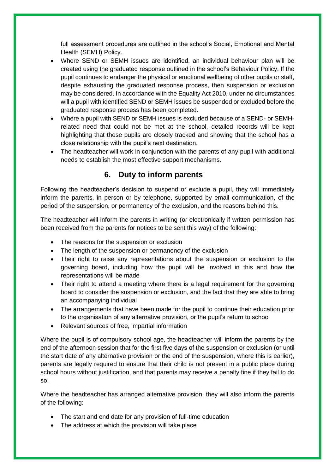full assessment procedures are outlined in the school's Social, Emotional and Mental Health (SEMH) Policy.

- Where SEND or SEMH issues are identified, an individual behaviour plan will be created using the graduated response outlined in the school's Behaviour Policy. If the pupil continues to endanger the physical or emotional wellbeing of other pupils or staff, despite exhausting the graduated response process, then suspension or exclusion may be considered. In accordance with the Equality Act 2010, under no circumstances will a pupil with identified SEND or SEMH issues be suspended or excluded before the graduated response process has been completed.
- Where a pupil with SEND or SEMH issues is excluded because of a SEND- or SEMHrelated need that could not be met at the school, detailed records will be kept highlighting that these pupils are closely tracked and showing that the school has a close relationship with the pupil's next destination.
- The headteacher will work in conjunction with the parents of any pupil with additional needs to establish the most effective support mechanisms.

#### **6. Duty to inform parents**

<span id="page-8-0"></span>Following the headteacher's decision to suspend or exclude a pupil, they will immediately inform the parents, in person or by telephone, supported by email communication, of the period of the suspension, or permanency of the exclusion, and the reasons behind this.

The headteacher will inform the parents in writing (or electronically if written permission has been received from the parents for notices to be sent this way) of the following:

- The reasons for the suspension or exclusion
- The length of the suspension or permanency of the exclusion
- Their right to raise any representations about the suspension or exclusion to the governing board, including how the pupil will be involved in this and how the representations will be made
- Their right to attend a meeting where there is a legal requirement for the governing board to consider the suspension or exclusion, and the fact that they are able to bring an accompanying individual
- The arrangements that have been made for the pupil to continue their education prior to the organisation of any alternative provision, or the pupil's return to school
- Relevant sources of free, impartial information

Where the pupil is of compulsory school age, the headteacher will inform the parents by the end of the afternoon session that for the first five days of the suspension or exclusion (or until the start date of any alternative provision or the end of the suspension, where this is earlier), parents are legally required to ensure that their child is not present in a public place during school hours without justification, and that parents may receive a penalty fine if they fail to do so.

Where the headteacher has arranged alternative provision, they will also inform the parents of the following:

- The start and end date for any provision of full-time education
- The address at which the provision will take place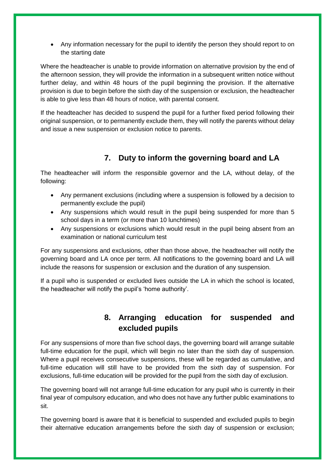• Any information necessary for the pupil to identify the person they should report to on the starting date

Where the headteacher is unable to provide information on alternative provision by the end of the afternoon session, they will provide the information in a subsequent written notice without further delay, and within 48 hours of the pupil beginning the provision. If the alternative provision is due to begin before the sixth day of the suspension or exclusion, the headteacher is able to give less than 48 hours of notice, with parental consent.

If the headteacher has decided to suspend the pupil for a further fixed period following their original suspension, or to permanently exclude them, they will notify the parents without delay and issue a new suspension or exclusion notice to parents.

## **7. Duty to inform the governing board and LA**

<span id="page-9-0"></span>The headteacher will inform the responsible governor and the LA, without delay, of the following:

- Any permanent exclusions (including where a suspension is followed by a decision to permanently exclude the pupil)
- Any suspensions which would result in the pupil being suspended for more than 5 school days in a term (or more than 10 lunchtimes)
- Any suspensions or exclusions which would result in the pupil being absent from an examination or national curriculum test

For any suspensions and exclusions, other than those above, the headteacher will notify the governing board and LA once per term. All notifications to the governing board and LA will include the reasons for suspension or exclusion and the duration of any suspension.

If a pupil who is suspended or excluded lives outside the LA in which the school is located, the headteacher will notify the pupil's 'home authority'.

### **8. Arranging education for suspended and excluded pupils**

<span id="page-9-1"></span>For any suspensions of more than five school days, the governing board will arrange suitable full-time education for the pupil, which will begin no later than the sixth day of suspension. Where a pupil receives consecutive suspensions, these will be regarded as cumulative, and full-time education will still have to be provided from the sixth day of suspension. For exclusions, full-time education will be provided for the pupil from the sixth day of exclusion.

The governing board will not arrange full-time education for any pupil who is currently in their final year of compulsory education, and who does not have any further public examinations to sit.

The governing board is aware that it is beneficial to suspended and excluded pupils to begin their alternative education arrangements before the sixth day of suspension or exclusion;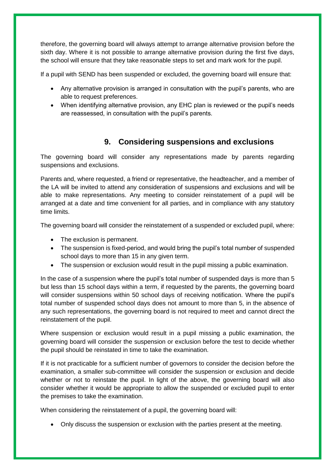therefore, the governing board will always attempt to arrange alternative provision before the sixth day. Where it is not possible to arrange alternative provision during the first five days, the school will ensure that they take reasonable steps to set and mark work for the pupil.

If a pupil with SEND has been suspended or excluded, the governing board will ensure that:

- Any alternative provision is arranged in consultation with the pupil's parents, who are able to request preferences.
- When identifying alternative provision, any EHC plan is reviewed or the pupil's needs are reassessed, in consultation with the pupil's parents.

### **9. Considering suspensions and exclusions**

<span id="page-10-0"></span>The governing board will consider any representations made by parents regarding suspensions and exclusions.

Parents and, where requested, a friend or representative, the headteacher, and a member of the LA will be invited to attend any consideration of suspensions and exclusions and will be able to make representations. Any meeting to consider reinstatement of a pupil will be arranged at a date and time convenient for all parties, and in compliance with any statutory time limits.

The governing board will consider the reinstatement of a suspended or excluded pupil, where:

- The exclusion is permanent.
- The suspension is fixed-period, and would bring the pupil's total number of suspended school days to more than 15 in any given term.
- The suspension or exclusion would result in the pupil missing a public examination.

In the case of a suspension where the pupil's total number of suspended days is more than 5 but less than 15 school days within a term, if requested by the parents, the governing board will consider suspensions within 50 school days of receiving notification. Where the pupil's total number of suspended school days does not amount to more than 5, in the absence of any such representations, the governing board is not required to meet and cannot direct the reinstatement of the pupil.

Where suspension or exclusion would result in a pupil missing a public examination, the governing board will consider the suspension or exclusion before the test to decide whether the pupil should be reinstated in time to take the examination.

If it is not practicable for a sufficient number of governors to consider the decision before the examination, a smaller sub-committee will consider the suspension or exclusion and decide whether or not to reinstate the pupil. In light of the above, the governing board will also consider whether it would be appropriate to allow the suspended or excluded pupil to enter the premises to take the examination.

When considering the reinstatement of a pupil, the governing board will:

Only discuss the suspension or exclusion with the parties present at the meeting.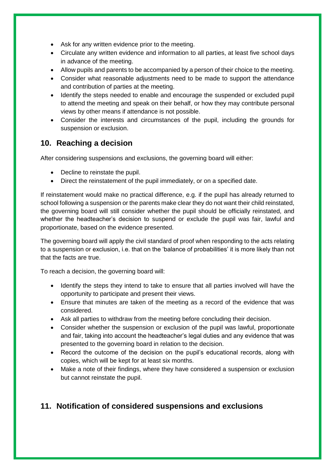- Ask for any written evidence prior to the meeting.
- Circulate any written evidence and information to all parties, at least five school days in advance of the meeting.
- Allow pupils and parents to be accompanied by a person of their choice to the meeting.
- Consider what reasonable adjustments need to be made to support the attendance and contribution of parties at the meeting.
- Identify the steps needed to enable and encourage the suspended or excluded pupil to attend the meeting and speak on their behalf, or how they may contribute personal views by other means if attendance is not possible.
- Consider the interests and circumstances of the pupil, including the grounds for suspension or exclusion.

#### <span id="page-11-0"></span>**10. Reaching a decision**

After considering suspensions and exclusions, the governing board will either:

- Decline to reinstate the pupil.
- Direct the reinstatement of the pupil immediately, or on a specified date.

If reinstatement would make no practical difference, e.g. if the pupil has already returned to school following a suspension or the parents make clear they do not want their child reinstated, the governing board will still consider whether the pupil should be officially reinstated, and whether the headteacher's decision to suspend or exclude the pupil was fair, lawful and proportionate, based on the evidence presented.

The governing board will apply the civil standard of proof when responding to the acts relating to a suspension or exclusion, i.e. that on the 'balance of probabilities' it is more likely than not that the facts are true.

To reach a decision, the governing board will:

- Identify the steps they intend to take to ensure that all parties involved will have the opportunity to participate and present their views.
- Ensure that minutes are taken of the meeting as a record of the evidence that was considered.
- Ask all parties to withdraw from the meeting before concluding their decision.
- Consider whether the suspension or exclusion of the pupil was lawful, proportionate and fair, taking into account the headteacher's legal duties and any evidence that was presented to the governing board in relation to the decision.
- Record the outcome of the decision on the pupil's educational records, along with copies, which will be kept for at least six months.
- Make a note of their findings, where they have considered a suspension or exclusion but cannot reinstate the pupil.

#### <span id="page-11-1"></span>**11. Notification of considered suspensions and exclusions**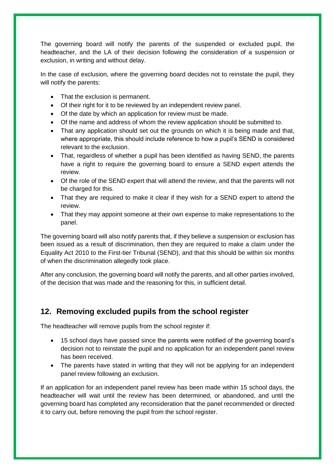The governing board will notify the parents of the suspended or excluded pupil, the headteacher, and the LA of their decision following the consideration of a suspension or exclusion, in writing and without delay.

In the case of exclusion, where the governing board decides not to reinstate the pupil, they will notify the parents:

- That the exclusion is permanent.
- Of their right for it to be reviewed by an independent review panel.
- Of the date by which an application for review must be made.
- Of the name and address of whom the review application should be submitted to.
- That any application should set out the grounds on which it is being made and that, where appropriate, this should include reference to how a pupil's SEND is considered relevant to the exclusion.
- That, regardless of whether a pupil has been identified as having SEND, the parents have a right to require the governing board to ensure a SEND expert attends the review.
- Of the role of the SEND expert that will attend the review, and that the parents will not be charged for this.
- That they are required to make it clear if they wish for a SEND expert to attend the review.
- That they may appoint someone at their own expense to make representations to the panel.

The governing board will also notify parents that, if they believe a suspension or exclusion has been issued as a result of discrimination, then they are required to make a claim under the Equality Act 2010 to the First-tier Tribunal (SEND), and that this should be within six months of when the discrimination allegedly took place.

After any conclusion, the governing board will notify the parents, and all other parties involved, of the decision that was made and the reasoning for this, in sufficient detail.

#### <span id="page-12-0"></span>**12. Removing excluded pupils from the school register**

The headteacher will remove pupils from the school register if:

- <span id="page-12-1"></span> 15 school days have passed since the parents were notified of the governing board's decision not to reinstate the pupil and no application for an independent panel review has been received.
- The parents have stated in writing that they will not be applying for an independent panel review following an exclusion.

If an application for an independent panel review has been made within 15 school days, the headteacher will wait until the review has been determined, or abandoned, and until the governing board has completed any reconsideration that the panel recommended or directed it to carry out, before removing the pupil from the school register.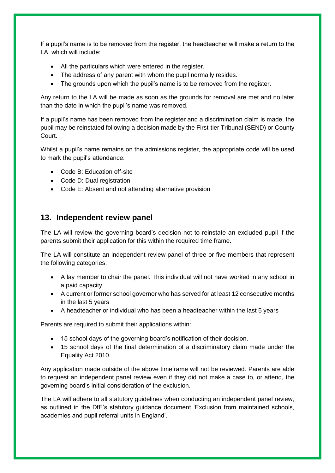If a pupil's name is to be removed from the register, the headteacher will make a return to the LA, which will include:

- All the particulars which were entered in the register.
- The address of any parent with whom the pupil normally resides.
- The grounds upon which the pupil's name is to be removed from the register.

Any return to the LA will be made as soon as the grounds for removal are met and no later than the date in which the pupil's name was removed.

If a pupil's name has been removed from the register and a discrimination claim is made, the pupil may be reinstated following a decision made by the First-tier Tribunal (SEND) or County Court.

Whilst a pupil's name remains on the admissions register, the appropriate code will be used to mark the pupil's attendance:

- Code B: Education off-site
- Code D: Dual registration
- Code E: Absent and not attending alternative provision

#### <span id="page-13-0"></span>**13. Independent review panel**

The LA will review the governing board's decision not to reinstate an excluded pupil if the parents submit their application for this within the required time frame.

The LA will constitute an independent review panel of three or five members that represent the following categories:

- A lay member to chair the panel. This individual will not have worked in any school in a paid capacity
- A current or former school governor who has served for at least 12 consecutive months in the last 5 years
- A headteacher or individual who has been a headteacher within the last 5 years

Parents are required to submit their applications within:

- 15 school days of the governing board's notification of their decision.
- 15 school days of the final determination of a discriminatory claim made under the Equality Act 2010.

Any application made outside of the above timeframe will not be reviewed. Parents are able to request an independent panel review even if they did not make a case to, or attend, the governing board's initial consideration of the exclusion.

<span id="page-13-1"></span>The LA will adhere to all statutory guidelines when conducting an independent panel review, as outlined in the DfE's statutory guidance document 'Exclusion from maintained schools, academies and pupil referral units in England'.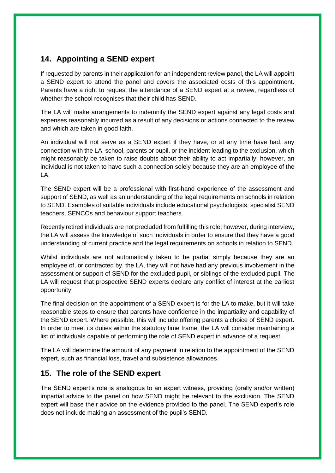## **14. Appointing a SEND expert**

If requested by parents in their application for an independent review panel, the LA will appoint a SEND expert to attend the panel and covers the associated costs of this appointment. Parents have a right to request the attendance of a SEND expert at a review, regardless of whether the school recognises that their child has SEND.

The LA will make arrangements to indemnify the SEND expert against any legal costs and expenses reasonably incurred as a result of any decisions or actions connected to the review and which are taken in good faith.

An individual will not serve as a SEND expert if they have, or at any time have had, any connection with the LA, school, parents or pupil, or the incident leading to the exclusion, which might reasonably be taken to raise doubts about their ability to act impartially; however, an individual is not taken to have such a connection solely because they are an employee of the LA.

The SEND expert will be a professional with first-hand experience of the assessment and support of SEND, as well as an understanding of the legal requirements on schools in relation to SEND. Examples of suitable individuals include educational psychologists, specialist SEND teachers, SENCOs and behaviour support teachers.

Recently retired individuals are not precluded from fulfilling this role; however, during interview, the LA will assess the knowledge of such individuals in order to ensure that they have a good understanding of current practice and the legal requirements on schools in relation to SEND.

Whilst individuals are not automatically taken to be partial simply because they are an employee of, or contracted by, the LA, they will not have had any previous involvement in the assessment or support of SEND for the excluded pupil, or siblings of the excluded pupil. The LA will request that prospective SEND experts declare any conflict of interest at the earliest opportunity.

The final decision on the appointment of a SEND expert is for the LA to make, but it will take reasonable steps to ensure that parents have confidence in the impartiality and capability of the SEND expert. Where possible, this will include offering parents a choice of SEND expert. In order to meet its duties within the statutory time frame, the LA will consider maintaining a list of individuals capable of performing the role of SEND expert in advance of a request.

The LA will determine the amount of any payment in relation to the appointment of the SEND expert, such as financial loss, travel and subsistence allowances.

#### <span id="page-14-0"></span>**15. The role of the SEND expert**

The SEND expert's role is analogous to an expert witness, providing (orally and/or written) impartial advice to the panel on how SEND might be relevant to the exclusion. The SEND expert will base their advice on the evidence provided to the panel. The SEND expert's role does not include making an assessment of the pupil's SEND.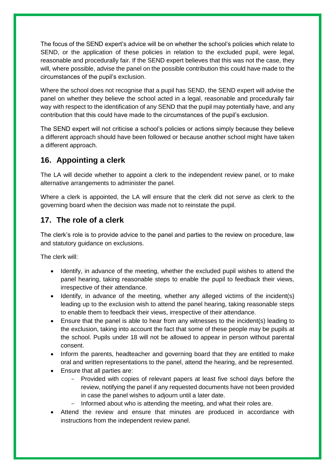The focus of the SEND expert's advice will be on whether the school's policies which relate to SEND, or the application of these policies in relation to the excluded pupil, were legal, reasonable and procedurally fair. If the SEND expert believes that this was not the case, they will, where possible, advise the panel on the possible contribution this could have made to the circumstances of the pupil's exclusion.

Where the school does not recognise that a pupil has SEND, the SEND expert will advise the panel on whether they believe the school acted in a legal, reasonable and procedurally fair way with respect to the identification of any SEND that the pupil may potentially have, and any contribution that this could have made to the circumstances of the pupil's exclusion.

The SEND expert will not criticise a school's policies or actions simply because they believe a different approach should have been followed or because another school might have taken a different approach.

### **16. Appointing a clerk**

The LA will decide whether to appoint a clerk to the independent review panel, or to make alternative arrangements to administer the panel.

Where a clerk is appointed, the LA will ensure that the clerk did not serve as clerk to the governing board when the decision was made not to reinstate the pupil.

#### **17. The role of a clerk**

The clerk's role is to provide advice to the panel and parties to the review on procedure, law and statutory guidance on exclusions.

The clerk will:

- Identify, in advance of the meeting, whether the excluded pupil wishes to attend the panel hearing, taking reasonable steps to enable the pupil to feedback their views, irrespective of their attendance.
- Identify, in advance of the meeting, whether any alleged victims of the incident(s) leading up to the exclusion wish to attend the panel hearing, taking reasonable steps to enable them to feedback their views, irrespective of their attendance.
- Ensure that the panel is able to hear from any witnesses to the incident(s) leading to the exclusion, taking into account the fact that some of these people may be pupils at the school. Pupils under 18 will not be allowed to appear in person without parental consent.
- Inform the parents, headteacher and governing board that they are entitled to make oral and written representations to the panel, attend the hearing, and be represented.
- Ensure that all parties are:
	- Provided with copies of relevant papers at least five school days before the review, notifying the panel if any requested documents have not been provided in case the panel wishes to adjourn until a later date.
	- Informed about who is attending the meeting, and what their roles are.
- Attend the review and ensure that minutes are produced in accordance with instructions from the independent review panel.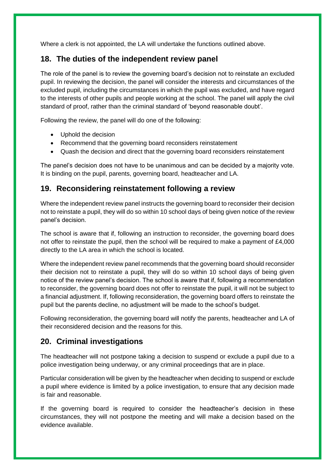Where a clerk is not appointed, the LA will undertake the functions outlined above.

#### **18. The duties of the independent review panel**

The role of the panel is to review the governing board's decision not to reinstate an excluded pupil. In reviewing the decision, the panel will consider the interests and circumstances of the excluded pupil, including the circumstances in which the pupil was excluded, and have regard to the interests of other pupils and people working at the school. The panel will apply the civil standard of proof, rather than the criminal standard of 'beyond reasonable doubt'.

Following the review, the panel will do one of the following:

- Uphold the decision
- Recommend that the governing board reconsiders reinstatement
- Quash the decision and direct that the governing board reconsiders reinstatement

The panel's decision does not have to be unanimous and can be decided by a majority vote. It is binding on the pupil, parents, governing board, headteacher and LA.

#### <span id="page-16-0"></span>**19. Reconsidering reinstatement following a review**

Where the independent review panel instructs the governing board to reconsider their decision not to reinstate a pupil, they will do so within 10 school days of being given notice of the review panel's decision.

The school is aware that if, following an instruction to reconsider, the governing board does not offer to reinstate the pupil, then the school will be required to make a payment of £4,000 directly to the LA area in which the school is located.

Where the independent review panel recommends that the governing board should reconsider their decision not to reinstate a pupil, they will do so within 10 school days of being given notice of the review panel's decision. The school is aware that if, following a recommendation to reconsider, the governing board does not offer to reinstate the pupil, it will not be subject to a financial adjustment. If, following reconsideration, the governing board offers to reinstate the pupil but the parents decline, no adjustment will be made to the school's budget.

Following reconsideration, the governing board will notify the parents, headteacher and LA of their reconsidered decision and the reasons for this.

#### <span id="page-16-1"></span>**20. Criminal investigations**

The headteacher will not postpone taking a decision to suspend or exclude a pupil due to a police investigation being underway, or any criminal proceedings that are in place.

Particular consideration will be given by the headteacher when deciding to suspend or exclude a pupil where evidence is limited by a police investigation, to ensure that any decision made is fair and reasonable.

If the governing board is required to consider the headteacher's decision in these circumstances, they will not postpone the meeting and will make a decision based on the evidence available.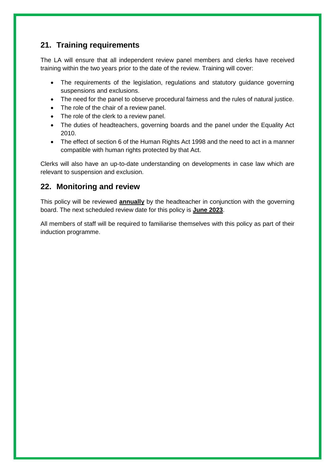#### <span id="page-17-0"></span>**21. Training requirements**

The LA will ensure that all independent review panel members and clerks have received training within the two years prior to the date of the review. Training will cover:

- The requirements of the legislation, regulations and statutory guidance governing suspensions and exclusions.
- The need for the panel to observe procedural fairness and the rules of natural justice.
- The role of the chair of a review panel.
- The role of the clerk to a review panel.
- The duties of headteachers, governing boards and the panel under the Equality Act 2010.
- The effect of section 6 of the Human Rights Act 1998 and the need to act in a manner compatible with human rights protected by that Act.

Clerks will also have an up-to-date understanding on developments in case law which are relevant to suspension and exclusion.

#### **22. Monitoring and review**

This policy will be reviewed **annually** by the headteacher in conjunction with the governing board. The next scheduled review date for this policy is **June 2023**.

All members of staff will be required to familiarise themselves with this policy as part of their induction programme.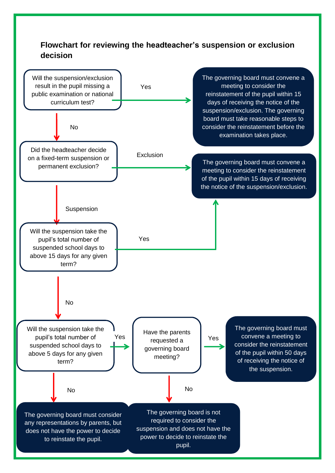## <span id="page-18-0"></span>**Flowchart for reviewing the headteacher's suspension or exclusion decision**